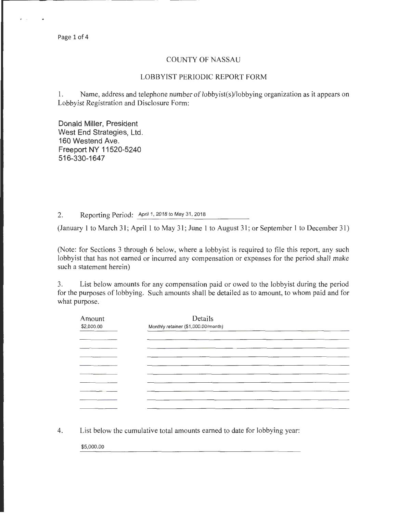## COUNTY OF NASSAU

## LOBBYIST PERIODIC REPORT FORM

1. Name, address and telephone number of lobbyist(s)/lobbying organization as it appears on Lobbyist Registration and Disclosure Form:

Donald Miller, President West End Strategies, Ltd. 160 Westend Ave. Freeport NY 11520-5240 516-330-1647

2. Reporting Period: April 1, 2018 to May 31, 2018

(January 1 to March 31; April 1 to May 31; June 1 to August 31; or September 1 to December 31)

(Note: for Sections 3 through 6 below, where a lobbyist is required to file this report, any such lobbyist that has not earned or incurred any compensation or expenses for the period shall make such a statement herein)

3. List below amounts for any compensation paid or owed to the lobbyist during the period for the purposes of lobbying. Such amounts shall be detailed as to amount, to whom paid and for what purpose.

| Amount<br>\$2,000.00 | Details<br>Monthly retainer (\$1,000.00/month) |  |  |
|----------------------|------------------------------------------------|--|--|
|                      |                                                |  |  |
|                      |                                                |  |  |
|                      |                                                |  |  |
|                      |                                                |  |  |
|                      |                                                |  |  |
|                      |                                                |  |  |
|                      |                                                |  |  |
|                      |                                                |  |  |

4. List below the cumulative total amounts earned to date for lobbying year:

\$5,000.00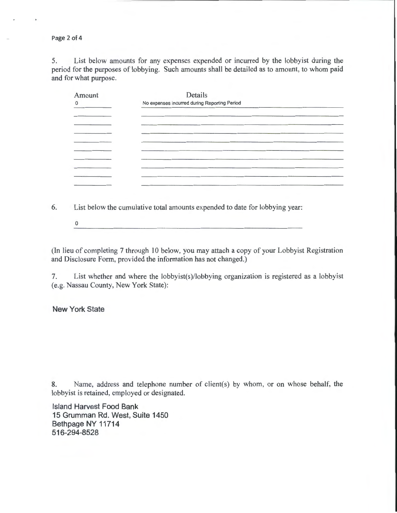Page 2 of 4

5. List below amounts for any expenses expended or incurred by the lobbyist during the period for the purposes of lobbying. Such amounts shall be detailed as to amount, to whom paid and for what purpose.

| Amount         | Details                                      |  |  |
|----------------|----------------------------------------------|--|--|
| $\overline{0}$ | No expenses incurred during Reporting Period |  |  |
|                |                                              |  |  |
|                |                                              |  |  |
|                |                                              |  |  |
|                |                                              |  |  |
|                |                                              |  |  |
|                |                                              |  |  |
|                |                                              |  |  |
|                |                                              |  |  |
|                |                                              |  |  |

6. List below the cumulative total amounts expended to date for lobbying year:

0

(In lieu of completing 7 through 10 below, you may attach a copy of your Lobbyist Registration and Disclosure Form, provided the information has not changed.)

7. List whether and where the lobbyist(s)/lobbying organization is registered as a lobbyist (e.g. Nassau County, New York State):

New York State

8. Name, address and telephone number of client(s) by whom, or on whose behalf, the lobbyist is retained, employed or designated.

Island Harvest Food Bank 15 Grumman Rd. West, Suite 1450 Bethpage NY 11714 516-294-8528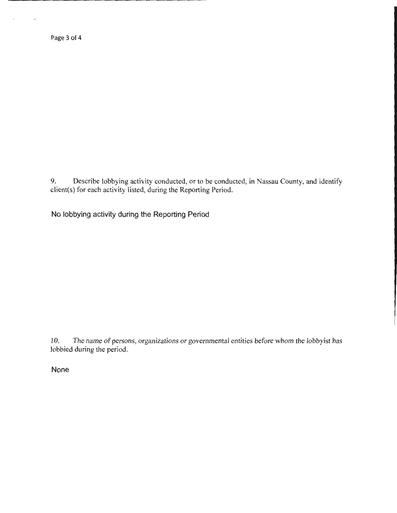Page 3 of 4

9. Describe lobbying activity conducted, or to be conducted, in Nassau County, and identify client(s) for each activity listed, during the Reporting Period.

No lobbying activity during the Reporting Period

10. The name of persons, organizations or governmental entities before whom the lobbyist has lobbied during the period.

None